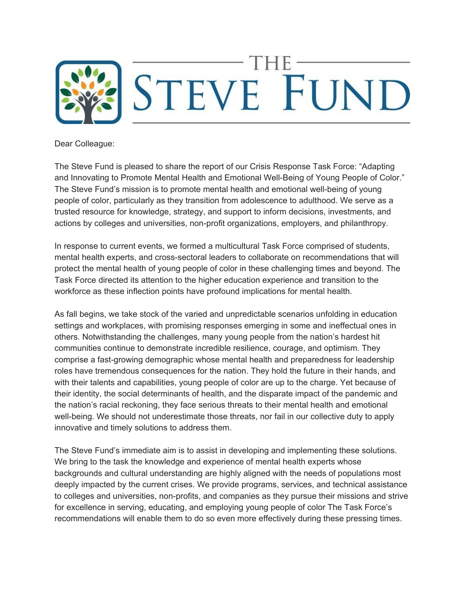

Dear Colleague:

The Steve Fund is pleased to share the report of our Crisis Response Task Force: "Adapting and Innovating to Promote Mental Health and Emotional Well-Being of Young People of Color." The Steve Fund's mission is to promote mental health and emotional well-being of young people of color, particularly as they transition from adolescence to adulthood. We serve as a trusted resource for knowledge, strategy, and support to inform decisions, investments, and actions by colleges and universities, non-profit organizations, employers, and philanthropy.

In response to current events, we formed a multicultural Task Force comprised of students, mental health experts, and cross-sectoral leaders to collaborate on recommendations that will protect the mental health of young people of color in these challenging times and beyond. The Task Force directed its attention to the higher education experience and transition to the workforce as these inflection points have profound implications for mental health.

As fall begins, we take stock of the varied and unpredictable scenarios unfolding in education settings and workplaces, with promising responses emerging in some and ineffectual ones in others. Notwithstanding the challenges, many young people from the nation's hardest hit communities continue to demonstrate incredible resilience, courage, and optimism. They comprise a fast-growing demographic whose mental health and preparedness for leadership roles have tremendous consequences for the nation. They hold the future in their hands, and with their talents and capabilities, young people of color are up to the charge. Yet because of their identity, the social determinants of health, and the disparate impact of the pandemic and the nation's racial reckoning, they face serious threats to their mental health and emotional well-being. We should not underestimate those threats, nor fail in our collective duty to apply innovative and timely solutions to address them.

The Steve Fund's immediate aim is to assist in developing and implementing these solutions. We bring to the task the knowledge and experience of mental health experts whose backgrounds and cultural understanding are highly aligned with the needs of populations most deeply impacted by the current crises. We provide programs, services, and technical assistance to colleges and universities, non-profits, and companies as they pursue their missions and strive for excellence in serving, educating, and employing young people of color The Task Force's recommendations will enable them to do so even more effectively during these pressing times.